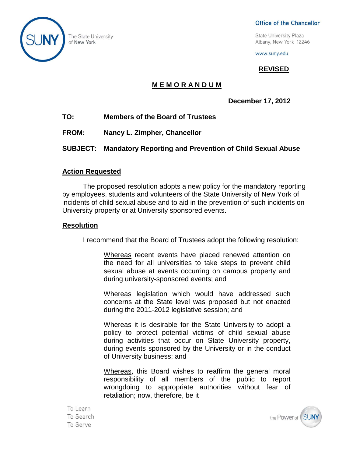

The State University of New York

#### Office of the Chancellor

**State University Plaza** Albany, New York 12246

www.suny.edu

# **REVISED**

# **M E M O R A N D U M**

**December 17, 2012**

- **TO: Members of the Board of Trustees**
- **FROM: Nancy L. Zimpher, Chancellor**
- **SUBJECT: Mandatory Reporting and Prevention of Child Sexual Abuse**

### **Action Requested**

The proposed resolution adopts a new policy for the mandatory reporting by employees, students and volunteers of the State University of New York of incidents of child sexual abuse and to aid in the prevention of such incidents on University property or at University sponsored events.

## **Resolution**

I recommend that the Board of Trustees adopt the following resolution:

Whereas recent events have placed renewed attention on the need for all universities to take steps to prevent child sexual abuse at events occurring on campus property and during university-sponsored events; and

Whereas legislation which would have addressed such concerns at the State level was proposed but not enacted during the 2011-2012 legislative session; and

Whereas it is desirable for the State University to adopt a policy to protect potential victims of child sexual abuse during activities that occur on State University property, during events sponsored by the University or in the conduct of University business; and

Whereas, this Board wishes to reaffirm the general moral responsibility of all members of the public to report wrongdoing to appropriate authorities without fear of retaliation; now, therefore, be it

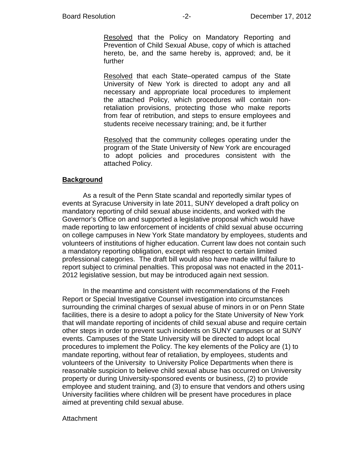Resolved that the Policy on Mandatory Reporting and Prevention of Child Sexual Abuse, copy of which is attached hereto, be, and the same hereby is, approved; and, be it further

Resolved that each State–operated campus of the State University of New York is directed to adopt any and all necessary and appropriate local procedures to implement the attached Policy, which procedures will contain nonretaliation provisions, protecting those who make reports from fear of retribution, and steps to ensure employees and students receive necessary training; and, be it further

Resolved that the community colleges operating under the program of the State University of New York are encouraged to adopt policies and procedures consistent with the attached Policy.

#### **Background**

As a result of the Penn State scandal and reportedly similar types of events at Syracuse University in late 2011, SUNY developed a draft policy on mandatory reporting of child sexual abuse incidents, and worked with the Governor's Office on and supported a legislative proposal which would have made reporting to law enforcement of incidents of child sexual abuse occurring on college campuses in New York State mandatory by employees, students and volunteers of institutions of higher education. Current law does not contain such a mandatory reporting obligation, except with respect to certain limited professional categories. The draft bill would also have made willful failure to report subject to criminal penalties. This proposal was not enacted in the 2011- 2012 legislative session, but may be introduced again next session.

In the meantime and consistent with recommendations of the Freeh Report or Special Investigative Counsel investigation into circumstances surrounding the criminal charges of sexual abuse of minors in or on Penn State facilities, there is a desire to adopt a policy for the State University of New York that will mandate reporting of incidents of child sexual abuse and require certain other steps in order to prevent such incidents on SUNY campuses or at SUNY events. Campuses of the State University will be directed to adopt local procedures to implement the Policy. The key elements of the Policy are (1) to mandate reporting, without fear of retaliation, by employees, students and volunteers of the University to University Police Departments when there is reasonable suspicion to believe child sexual abuse has occurred on University property or during University-sponsored events or business, (2) to provide employee and student training, and (3) to ensure that vendors and others using University facilities where children will be present have procedures in place aimed at preventing child sexual abuse.

#### **Attachment**